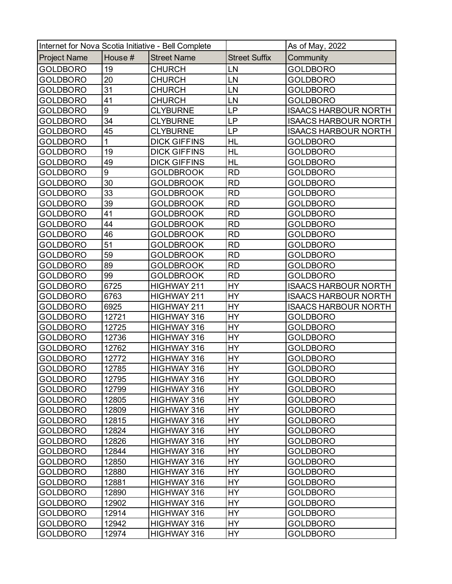| Internet for Nova Scotia Initiative - Bell Complete |         |                     | As of May, 2022      |                             |
|-----------------------------------------------------|---------|---------------------|----------------------|-----------------------------|
| <b>Project Name</b>                                 | House # | <b>Street Name</b>  | <b>Street Suffix</b> | Community                   |
| <b>GOLDBORO</b>                                     | 19      | CHURCH              | LN                   | <b>GOLDBORO</b>             |
| <b>GOLDBORO</b>                                     | 20      | CHURCH              | LN                   | <b>GOLDBORO</b>             |
| <b>GOLDBORO</b>                                     | 31      | CHURCH              | LN                   | <b>GOLDBORO</b>             |
| <b>GOLDBORO</b>                                     | 41      | CHURCH              | LN                   | <b>GOLDBORO</b>             |
| GOLDBORO                                            | 9       | CLYBURNE            | LP                   | <b>ISAACS HARBOUR NORTH</b> |
| GOLDBORO                                            | 34      | <b>CLYBURNE</b>     | LP                   | <b>ISAACS HARBOUR NORTH</b> |
| GOLDBORO                                            | 45      | <b>CLYBURNE</b>     | LP                   | <b>ISAACS HARBOUR NORTH</b> |
| GOLDBORO                                            | 1       | <b>DICK GIFFINS</b> | HL                   | <b>GOLDBORO</b>             |
| GOLDBORO                                            | 19      | <b>DICK GIFFINS</b> | HL                   | <b>GOLDBORO</b>             |
| <b>GOLDBORO</b>                                     | 49      | <b>DICK GIFFINS</b> | HL                   | <b>GOLDBORO</b>             |
| GOLDBORO                                            | 9       | GOLDBROOK           | <b>RD</b>            | <b>GOLDBORO</b>             |
| GOLDBORO                                            | 30      | GOLDBROOK           | <b>RD</b>            | <b>GOLDBORO</b>             |
| <b>GOLDBORO</b>                                     | 33      | GOLDBROOK           | <b>RD</b>            | <b>GOLDBORO</b>             |
| GOLDBORO                                            | 39      | GOLDBROOK           | <b>RD</b>            | <b>GOLDBORO</b>             |
| GOLDBORO                                            | 41      | <b>GOLDBROOK</b>    | <b>RD</b>            | <b>GOLDBORO</b>             |
| <b>GOLDBORO</b>                                     | 44      | GOLDBROOK           | <b>RD</b>            | <b>GOLDBORO</b>             |
| <b>GOLDBORO</b>                                     | 46      | GOLDBROOK           | <b>RD</b>            | <b>GOLDBORO</b>             |
| GOLDBORO                                            | 51      | GOLDBROOK           | <b>RD</b>            | <b>GOLDBORO</b>             |
| GOLDBORO                                            | 59      | GOLDBROOK           | <b>RD</b>            | <b>GOLDBORO</b>             |
| GOLDBORO                                            | 89      | <b>GOLDBROOK</b>    | <b>RD</b>            | <b>GOLDBORO</b>             |
| GOLDBORO                                            | 99      | <b>GOLDBROOK</b>    | <b>RD</b>            | <b>GOLDBORO</b>             |
| <b>GOLDBORO</b>                                     | 6725    | HIGHWAY 211         | HY                   | <b>ISAACS HARBOUR NORTH</b> |
| GOLDBORO                                            | 6763    | HIGHWAY 211         | HY                   | <b>ISAACS HARBOUR NORTH</b> |
| GOLDBORO                                            | 6925    | HIGHWAY 211         | HY                   | <b>ISAACS HARBOUR NORTH</b> |
| <b>GOLDBORO</b>                                     | 12721   | HIGHWAY 316         | HY                   | <b>GOLDBORO</b>             |
| GOLDBORO                                            | 12725   | HIGHWAY 316         | HY                   | <b>GOLDBORO</b>             |
| GOLDBORO                                            | 12736   | HIGHWAY 316         | HY                   | <b>GOLDBORO</b>             |
| <b>GOLDBORO</b>                                     | 12762   | HIGHWAY 316         | HY                   | <b>GOLDBORO</b>             |
| <b>GOLDBORO</b>                                     | 12772   | HIGHWAY 316         | HY                   | <b>GOLDBORO</b>             |
| <b>GOLDBORO</b>                                     | 12785   | HIGHWAY 316         | <b>HY</b>            | <b>GOLDBORO</b>             |
| <b>GOLDBORO</b>                                     | 12795   | HIGHWAY 316         | HY                   | <b>GOLDBORO</b>             |
| <b>GOLDBORO</b>                                     | 12799   | HIGHWAY 316         | HY                   | <b>GOLDBORO</b>             |
| <b>GOLDBORO</b>                                     | 12805   | HIGHWAY 316         | HY                   | <b>GOLDBORO</b>             |
| <b>GOLDBORO</b>                                     | 12809   | HIGHWAY 316         | HY                   | <b>GOLDBORO</b>             |
| <b>GOLDBORO</b>                                     | 12815   | HIGHWAY 316         | HY                   | <b>GOLDBORO</b>             |
| <b>GOLDBORO</b>                                     | 12824   | HIGHWAY 316         | HY                   | <b>GOLDBORO</b>             |
| <b>GOLDBORO</b>                                     | 12826   | HIGHWAY 316         | HY                   | <b>GOLDBORO</b>             |
| <b>GOLDBORO</b>                                     | 12844   | HIGHWAY 316         | HY                   | <b>GOLDBORO</b>             |
| <b>GOLDBORO</b>                                     | 12850   | HIGHWAY 316         | <b>HY</b>            | <b>GOLDBORO</b>             |
| <b>GOLDBORO</b>                                     | 12880   | HIGHWAY 316         | HY                   | <b>GOLDBORO</b>             |
| <b>GOLDBORO</b>                                     | 12881   | HIGHWAY 316         | HY                   | <b>GOLDBORO</b>             |
| <b>GOLDBORO</b>                                     | 12890   | HIGHWAY 316         | HY                   | <b>GOLDBORO</b>             |
| <b>GOLDBORO</b>                                     | 12902   | HIGHWAY 316         | HY                   | <b>GOLDBORO</b>             |
| <b>GOLDBORO</b>                                     | 12914   | HIGHWAY 316         | HY                   | <b>GOLDBORO</b>             |
| <b>GOLDBORO</b>                                     | 12942   | HIGHWAY 316         | HY                   | <b>GOLDBORO</b>             |
| <b>GOLDBORO</b>                                     | 12974   | HIGHWAY 316         | HY                   | <b>GOLDBORO</b>             |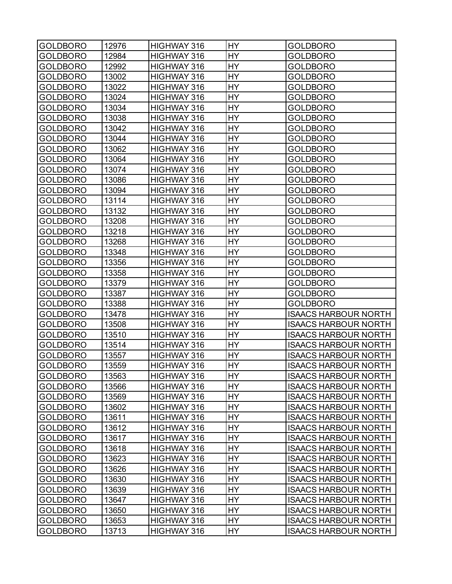| <b>HY</b><br>12984<br>GOLDBORO<br>HIGHWAY 316<br><b>GOLDBORO</b><br>HY<br>GOLDBORO<br>12992<br>HIGHWAY 316<br><b>GOLDBORO</b><br>HY<br>GOLDBORO<br>13002<br>HIGHWAY 316<br><b>GOLDBORO</b><br>HY<br>13022<br><b>GOLDBORO</b><br>HIGHWAY 316<br><b>GOLDBORO</b><br>13024<br>HY<br>GOLDBORO<br>HIGHWAY 316<br><b>GOLDBORO</b><br>13034<br>HΥ<br>GOLDBORO<br>HIGHWAY 316<br><b>GOLDBORO</b><br><b>HY</b><br>13038<br>GOLDBORO<br>HIGHWAY 316<br><b>GOLDBORO</b><br>13042<br>HY<br>GOLDBORO<br>HIGHWAY 316<br><b>GOLDBORO</b><br>HY<br>13044<br>HIGHWAY 316<br>GOLDBORO<br><b>GOLDBORO</b><br>13062<br>HY<br>GOLDBORO<br>HIGHWAY 316<br><b>GOLDBORO</b><br>13064<br>HY<br>GOLDBORO<br>HIGHWAY 316<br><b>GOLDBORO</b><br>HΥ<br>GOLDBORO<br>13074<br>HIGHWAY 316<br><b>GOLDBORO</b><br><b>HY</b><br>13086<br>GOLDBORO<br>HIGHWAY 316<br><b>GOLDBORO</b><br>HY<br>GOLDBORO<br>13094<br>HIGHWAY 316<br><b>GOLDBORO</b><br>HY<br>13114<br>HIGHWAY 316<br>GOLDBORO<br><b>GOLDBORO</b><br>13132<br>HY<br>HIGHWAY 316<br>GOLDBORO<br><b>GOLDBORO</b><br>13208<br>HY<br><b>GOLDBORO</b><br>HIGHWAY 316<br><b>GOLDBORO</b><br>13218<br>HΥ<br>HIGHWAY 316<br>GOLDBORO<br><b>GOLDBORO</b><br><b>HY</b><br>13268<br>GOLDBORO<br>HIGHWAY 316<br><b>GOLDBORO</b><br>13348<br>HY<br><b>GOLDBORO</b><br>HIGHWAY 316<br><b>GOLDBORO</b><br>HY<br>GOLDBORO<br>13356<br>HIGHWAY 316<br><b>GOLDBORO</b><br>13358<br>HY<br>GOLDBORO<br>HIGHWAY 316<br><b>GOLDBORO</b><br>13379<br>HY<br>GOLDBORO<br>HIGHWAY 316<br><b>GOLDBORO</b><br>13387<br>HΥ<br>HIGHWAY 316<br>GOLDBORO<br><b>GOLDBORO</b><br>13388<br>HY<br>GOLDBORO<br>HIGHWAY 316<br><b>GOLDBORO</b><br>13478<br>HY<br>GOLDBORO<br>HIGHWAY 316<br><b>ISAACS HARBOUR NORTH</b><br>HY<br>GOLDBORO<br>13508<br>HIGHWAY 316<br><b>ISAACS HARBOUR NORTH</b><br>13510<br>HY<br><b>GOLDBORO</b><br>HIGHWAY 316<br><b>ISAACS HARBOUR NORTH</b><br>13514<br>HY<br><b>GOLDBORO</b><br>HIGHWAY 316<br><b>ISAACS HARBOUR NORTH</b><br>HY<br>13557<br>HIGHWAY 316<br>GOLDBORO<br><b>ISAACS HARBOUR NORTH</b><br>13559<br>HY<br>GOLDBORO<br>HIGHWAY 316<br><b>ISAACS HARBOUR NORTH</b><br>HY<br><b>GOLDBORO</b><br>13563<br>HIGHWAY 316<br><b>ISAACS HARBOUR NORTH</b><br>13566<br>HY<br><b>GOLDBORO</b><br>HIGHWAY 316<br><b>ISAACS HARBOUR NORTH</b><br>13569<br>HY<br><b>GOLDBORO</b><br>HIGHWAY 316<br><b>ISAACS HARBOUR NORTH</b><br>HY<br><b>GOLDBORO</b><br>13602<br>HIGHWAY 316<br><b>ISAACS HARBOUR NORTH</b><br><b>GOLDBORO</b><br>13611<br>HY<br>HIGHWAY 316<br><b>ISAACS HARBOUR NORTH</b><br>13612<br>HY<br><b>GOLDBORO</b><br>HIGHWAY 316<br><b>ISAACS HARBOUR NORTH</b><br><b>GOLDBORO</b><br>13617<br>HIGHWAY 316<br>HY<br><b>ISAACS HARBOUR NORTH</b><br>HY<br>13618<br>GOLDBORO<br>HIGHWAY 316<br><b>ISAACS HARBOUR NORTH</b><br>13623<br>HY<br><b>GOLDBORO</b><br>HIGHWAY 316<br><b>ISAACS HARBOUR NORTH</b><br>13626<br>HY<br><b>GOLDBORO</b><br>HIGHWAY 316<br><b>ISAACS HARBOUR NORTH</b><br><b>GOLDBORO</b><br>13630<br>HIGHWAY 316<br>HY<br><b>ISAACS HARBOUR NORTH</b><br>13639<br>HY<br><b>GOLDBORO</b><br>HIGHWAY 316<br><b>ISAACS HARBOUR NORTH</b><br>HY<br><b>GOLDBORO</b><br>13647<br>HIGHWAY 316<br><b>ISAACS HARBOUR NORTH</b><br>13650<br>HY<br><b>GOLDBORO</b><br>HIGHWAY 316<br><b>ISAACS HARBOUR NORTH</b><br>13653<br>HY<br><b>GOLDBORO</b><br>HIGHWAY 316<br><b>ISAACS HARBOUR NORTH</b><br><b>GOLDBORO</b><br>13713<br>HIGHWAY 316<br>HY<br><b>ISAACS HARBOUR NORTH</b> | <b>GOLDBORO</b> | 12976 | HIGHWAY 316 | HΥ | <b>GOLDBORO</b> |
|---------------------------------------------------------------------------------------------------------------------------------------------------------------------------------------------------------------------------------------------------------------------------------------------------------------------------------------------------------------------------------------------------------------------------------------------------------------------------------------------------------------------------------------------------------------------------------------------------------------------------------------------------------------------------------------------------------------------------------------------------------------------------------------------------------------------------------------------------------------------------------------------------------------------------------------------------------------------------------------------------------------------------------------------------------------------------------------------------------------------------------------------------------------------------------------------------------------------------------------------------------------------------------------------------------------------------------------------------------------------------------------------------------------------------------------------------------------------------------------------------------------------------------------------------------------------------------------------------------------------------------------------------------------------------------------------------------------------------------------------------------------------------------------------------------------------------------------------------------------------------------------------------------------------------------------------------------------------------------------------------------------------------------------------------------------------------------------------------------------------------------------------------------------------------------------------------------------------------------------------------------------------------------------------------------------------------------------------------------------------------------------------------------------------------------------------------------------------------------------------------------------------------------------------------------------------------------------------------------------------------------------------------------------------------------------------------------------------------------------------------------------------------------------------------------------------------------------------------------------------------------------------------------------------------------------------------------------------------------------------------------------------------------------------------------------------------------------------------------------------------------------------------------------------------------------------------------------------------------------------------------------------------------------------------------------------------------------------------------------------------------------------------------------------------------|-----------------|-------|-------------|----|-----------------|
|                                                                                                                                                                                                                                                                                                                                                                                                                                                                                                                                                                                                                                                                                                                                                                                                                                                                                                                                                                                                                                                                                                                                                                                                                                                                                                                                                                                                                                                                                                                                                                                                                                                                                                                                                                                                                                                                                                                                                                                                                                                                                                                                                                                                                                                                                                                                                                                                                                                                                                                                                                                                                                                                                                                                                                                                                                                                                                                                                                                                                                                                                                                                                                                                                                                                                                                                                                                                                                 |                 |       |             |    |                 |
|                                                                                                                                                                                                                                                                                                                                                                                                                                                                                                                                                                                                                                                                                                                                                                                                                                                                                                                                                                                                                                                                                                                                                                                                                                                                                                                                                                                                                                                                                                                                                                                                                                                                                                                                                                                                                                                                                                                                                                                                                                                                                                                                                                                                                                                                                                                                                                                                                                                                                                                                                                                                                                                                                                                                                                                                                                                                                                                                                                                                                                                                                                                                                                                                                                                                                                                                                                                                                                 |                 |       |             |    |                 |
|                                                                                                                                                                                                                                                                                                                                                                                                                                                                                                                                                                                                                                                                                                                                                                                                                                                                                                                                                                                                                                                                                                                                                                                                                                                                                                                                                                                                                                                                                                                                                                                                                                                                                                                                                                                                                                                                                                                                                                                                                                                                                                                                                                                                                                                                                                                                                                                                                                                                                                                                                                                                                                                                                                                                                                                                                                                                                                                                                                                                                                                                                                                                                                                                                                                                                                                                                                                                                                 |                 |       |             |    |                 |
|                                                                                                                                                                                                                                                                                                                                                                                                                                                                                                                                                                                                                                                                                                                                                                                                                                                                                                                                                                                                                                                                                                                                                                                                                                                                                                                                                                                                                                                                                                                                                                                                                                                                                                                                                                                                                                                                                                                                                                                                                                                                                                                                                                                                                                                                                                                                                                                                                                                                                                                                                                                                                                                                                                                                                                                                                                                                                                                                                                                                                                                                                                                                                                                                                                                                                                                                                                                                                                 |                 |       |             |    |                 |
|                                                                                                                                                                                                                                                                                                                                                                                                                                                                                                                                                                                                                                                                                                                                                                                                                                                                                                                                                                                                                                                                                                                                                                                                                                                                                                                                                                                                                                                                                                                                                                                                                                                                                                                                                                                                                                                                                                                                                                                                                                                                                                                                                                                                                                                                                                                                                                                                                                                                                                                                                                                                                                                                                                                                                                                                                                                                                                                                                                                                                                                                                                                                                                                                                                                                                                                                                                                                                                 |                 |       |             |    |                 |
|                                                                                                                                                                                                                                                                                                                                                                                                                                                                                                                                                                                                                                                                                                                                                                                                                                                                                                                                                                                                                                                                                                                                                                                                                                                                                                                                                                                                                                                                                                                                                                                                                                                                                                                                                                                                                                                                                                                                                                                                                                                                                                                                                                                                                                                                                                                                                                                                                                                                                                                                                                                                                                                                                                                                                                                                                                                                                                                                                                                                                                                                                                                                                                                                                                                                                                                                                                                                                                 |                 |       |             |    |                 |
|                                                                                                                                                                                                                                                                                                                                                                                                                                                                                                                                                                                                                                                                                                                                                                                                                                                                                                                                                                                                                                                                                                                                                                                                                                                                                                                                                                                                                                                                                                                                                                                                                                                                                                                                                                                                                                                                                                                                                                                                                                                                                                                                                                                                                                                                                                                                                                                                                                                                                                                                                                                                                                                                                                                                                                                                                                                                                                                                                                                                                                                                                                                                                                                                                                                                                                                                                                                                                                 |                 |       |             |    |                 |
|                                                                                                                                                                                                                                                                                                                                                                                                                                                                                                                                                                                                                                                                                                                                                                                                                                                                                                                                                                                                                                                                                                                                                                                                                                                                                                                                                                                                                                                                                                                                                                                                                                                                                                                                                                                                                                                                                                                                                                                                                                                                                                                                                                                                                                                                                                                                                                                                                                                                                                                                                                                                                                                                                                                                                                                                                                                                                                                                                                                                                                                                                                                                                                                                                                                                                                                                                                                                                                 |                 |       |             |    |                 |
|                                                                                                                                                                                                                                                                                                                                                                                                                                                                                                                                                                                                                                                                                                                                                                                                                                                                                                                                                                                                                                                                                                                                                                                                                                                                                                                                                                                                                                                                                                                                                                                                                                                                                                                                                                                                                                                                                                                                                                                                                                                                                                                                                                                                                                                                                                                                                                                                                                                                                                                                                                                                                                                                                                                                                                                                                                                                                                                                                                                                                                                                                                                                                                                                                                                                                                                                                                                                                                 |                 |       |             |    |                 |
|                                                                                                                                                                                                                                                                                                                                                                                                                                                                                                                                                                                                                                                                                                                                                                                                                                                                                                                                                                                                                                                                                                                                                                                                                                                                                                                                                                                                                                                                                                                                                                                                                                                                                                                                                                                                                                                                                                                                                                                                                                                                                                                                                                                                                                                                                                                                                                                                                                                                                                                                                                                                                                                                                                                                                                                                                                                                                                                                                                                                                                                                                                                                                                                                                                                                                                                                                                                                                                 |                 |       |             |    |                 |
|                                                                                                                                                                                                                                                                                                                                                                                                                                                                                                                                                                                                                                                                                                                                                                                                                                                                                                                                                                                                                                                                                                                                                                                                                                                                                                                                                                                                                                                                                                                                                                                                                                                                                                                                                                                                                                                                                                                                                                                                                                                                                                                                                                                                                                                                                                                                                                                                                                                                                                                                                                                                                                                                                                                                                                                                                                                                                                                                                                                                                                                                                                                                                                                                                                                                                                                                                                                                                                 |                 |       |             |    |                 |
|                                                                                                                                                                                                                                                                                                                                                                                                                                                                                                                                                                                                                                                                                                                                                                                                                                                                                                                                                                                                                                                                                                                                                                                                                                                                                                                                                                                                                                                                                                                                                                                                                                                                                                                                                                                                                                                                                                                                                                                                                                                                                                                                                                                                                                                                                                                                                                                                                                                                                                                                                                                                                                                                                                                                                                                                                                                                                                                                                                                                                                                                                                                                                                                                                                                                                                                                                                                                                                 |                 |       |             |    |                 |
|                                                                                                                                                                                                                                                                                                                                                                                                                                                                                                                                                                                                                                                                                                                                                                                                                                                                                                                                                                                                                                                                                                                                                                                                                                                                                                                                                                                                                                                                                                                                                                                                                                                                                                                                                                                                                                                                                                                                                                                                                                                                                                                                                                                                                                                                                                                                                                                                                                                                                                                                                                                                                                                                                                                                                                                                                                                                                                                                                                                                                                                                                                                                                                                                                                                                                                                                                                                                                                 |                 |       |             |    |                 |
|                                                                                                                                                                                                                                                                                                                                                                                                                                                                                                                                                                                                                                                                                                                                                                                                                                                                                                                                                                                                                                                                                                                                                                                                                                                                                                                                                                                                                                                                                                                                                                                                                                                                                                                                                                                                                                                                                                                                                                                                                                                                                                                                                                                                                                                                                                                                                                                                                                                                                                                                                                                                                                                                                                                                                                                                                                                                                                                                                                                                                                                                                                                                                                                                                                                                                                                                                                                                                                 |                 |       |             |    |                 |
|                                                                                                                                                                                                                                                                                                                                                                                                                                                                                                                                                                                                                                                                                                                                                                                                                                                                                                                                                                                                                                                                                                                                                                                                                                                                                                                                                                                                                                                                                                                                                                                                                                                                                                                                                                                                                                                                                                                                                                                                                                                                                                                                                                                                                                                                                                                                                                                                                                                                                                                                                                                                                                                                                                                                                                                                                                                                                                                                                                                                                                                                                                                                                                                                                                                                                                                                                                                                                                 |                 |       |             |    |                 |
|                                                                                                                                                                                                                                                                                                                                                                                                                                                                                                                                                                                                                                                                                                                                                                                                                                                                                                                                                                                                                                                                                                                                                                                                                                                                                                                                                                                                                                                                                                                                                                                                                                                                                                                                                                                                                                                                                                                                                                                                                                                                                                                                                                                                                                                                                                                                                                                                                                                                                                                                                                                                                                                                                                                                                                                                                                                                                                                                                                                                                                                                                                                                                                                                                                                                                                                                                                                                                                 |                 |       |             |    |                 |
|                                                                                                                                                                                                                                                                                                                                                                                                                                                                                                                                                                                                                                                                                                                                                                                                                                                                                                                                                                                                                                                                                                                                                                                                                                                                                                                                                                                                                                                                                                                                                                                                                                                                                                                                                                                                                                                                                                                                                                                                                                                                                                                                                                                                                                                                                                                                                                                                                                                                                                                                                                                                                                                                                                                                                                                                                                                                                                                                                                                                                                                                                                                                                                                                                                                                                                                                                                                                                                 |                 |       |             |    |                 |
|                                                                                                                                                                                                                                                                                                                                                                                                                                                                                                                                                                                                                                                                                                                                                                                                                                                                                                                                                                                                                                                                                                                                                                                                                                                                                                                                                                                                                                                                                                                                                                                                                                                                                                                                                                                                                                                                                                                                                                                                                                                                                                                                                                                                                                                                                                                                                                                                                                                                                                                                                                                                                                                                                                                                                                                                                                                                                                                                                                                                                                                                                                                                                                                                                                                                                                                                                                                                                                 |                 |       |             |    |                 |
|                                                                                                                                                                                                                                                                                                                                                                                                                                                                                                                                                                                                                                                                                                                                                                                                                                                                                                                                                                                                                                                                                                                                                                                                                                                                                                                                                                                                                                                                                                                                                                                                                                                                                                                                                                                                                                                                                                                                                                                                                                                                                                                                                                                                                                                                                                                                                                                                                                                                                                                                                                                                                                                                                                                                                                                                                                                                                                                                                                                                                                                                                                                                                                                                                                                                                                                                                                                                                                 |                 |       |             |    |                 |
|                                                                                                                                                                                                                                                                                                                                                                                                                                                                                                                                                                                                                                                                                                                                                                                                                                                                                                                                                                                                                                                                                                                                                                                                                                                                                                                                                                                                                                                                                                                                                                                                                                                                                                                                                                                                                                                                                                                                                                                                                                                                                                                                                                                                                                                                                                                                                                                                                                                                                                                                                                                                                                                                                                                                                                                                                                                                                                                                                                                                                                                                                                                                                                                                                                                                                                                                                                                                                                 |                 |       |             |    |                 |
|                                                                                                                                                                                                                                                                                                                                                                                                                                                                                                                                                                                                                                                                                                                                                                                                                                                                                                                                                                                                                                                                                                                                                                                                                                                                                                                                                                                                                                                                                                                                                                                                                                                                                                                                                                                                                                                                                                                                                                                                                                                                                                                                                                                                                                                                                                                                                                                                                                                                                                                                                                                                                                                                                                                                                                                                                                                                                                                                                                                                                                                                                                                                                                                                                                                                                                                                                                                                                                 |                 |       |             |    |                 |
|                                                                                                                                                                                                                                                                                                                                                                                                                                                                                                                                                                                                                                                                                                                                                                                                                                                                                                                                                                                                                                                                                                                                                                                                                                                                                                                                                                                                                                                                                                                                                                                                                                                                                                                                                                                                                                                                                                                                                                                                                                                                                                                                                                                                                                                                                                                                                                                                                                                                                                                                                                                                                                                                                                                                                                                                                                                                                                                                                                                                                                                                                                                                                                                                                                                                                                                                                                                                                                 |                 |       |             |    |                 |
|                                                                                                                                                                                                                                                                                                                                                                                                                                                                                                                                                                                                                                                                                                                                                                                                                                                                                                                                                                                                                                                                                                                                                                                                                                                                                                                                                                                                                                                                                                                                                                                                                                                                                                                                                                                                                                                                                                                                                                                                                                                                                                                                                                                                                                                                                                                                                                                                                                                                                                                                                                                                                                                                                                                                                                                                                                                                                                                                                                                                                                                                                                                                                                                                                                                                                                                                                                                                                                 |                 |       |             |    |                 |
|                                                                                                                                                                                                                                                                                                                                                                                                                                                                                                                                                                                                                                                                                                                                                                                                                                                                                                                                                                                                                                                                                                                                                                                                                                                                                                                                                                                                                                                                                                                                                                                                                                                                                                                                                                                                                                                                                                                                                                                                                                                                                                                                                                                                                                                                                                                                                                                                                                                                                                                                                                                                                                                                                                                                                                                                                                                                                                                                                                                                                                                                                                                                                                                                                                                                                                                                                                                                                                 |                 |       |             |    |                 |
|                                                                                                                                                                                                                                                                                                                                                                                                                                                                                                                                                                                                                                                                                                                                                                                                                                                                                                                                                                                                                                                                                                                                                                                                                                                                                                                                                                                                                                                                                                                                                                                                                                                                                                                                                                                                                                                                                                                                                                                                                                                                                                                                                                                                                                                                                                                                                                                                                                                                                                                                                                                                                                                                                                                                                                                                                                                                                                                                                                                                                                                                                                                                                                                                                                                                                                                                                                                                                                 |                 |       |             |    |                 |
|                                                                                                                                                                                                                                                                                                                                                                                                                                                                                                                                                                                                                                                                                                                                                                                                                                                                                                                                                                                                                                                                                                                                                                                                                                                                                                                                                                                                                                                                                                                                                                                                                                                                                                                                                                                                                                                                                                                                                                                                                                                                                                                                                                                                                                                                                                                                                                                                                                                                                                                                                                                                                                                                                                                                                                                                                                                                                                                                                                                                                                                                                                                                                                                                                                                                                                                                                                                                                                 |                 |       |             |    |                 |
|                                                                                                                                                                                                                                                                                                                                                                                                                                                                                                                                                                                                                                                                                                                                                                                                                                                                                                                                                                                                                                                                                                                                                                                                                                                                                                                                                                                                                                                                                                                                                                                                                                                                                                                                                                                                                                                                                                                                                                                                                                                                                                                                                                                                                                                                                                                                                                                                                                                                                                                                                                                                                                                                                                                                                                                                                                                                                                                                                                                                                                                                                                                                                                                                                                                                                                                                                                                                                                 |                 |       |             |    |                 |
|                                                                                                                                                                                                                                                                                                                                                                                                                                                                                                                                                                                                                                                                                                                                                                                                                                                                                                                                                                                                                                                                                                                                                                                                                                                                                                                                                                                                                                                                                                                                                                                                                                                                                                                                                                                                                                                                                                                                                                                                                                                                                                                                                                                                                                                                                                                                                                                                                                                                                                                                                                                                                                                                                                                                                                                                                                                                                                                                                                                                                                                                                                                                                                                                                                                                                                                                                                                                                                 |                 |       |             |    |                 |
|                                                                                                                                                                                                                                                                                                                                                                                                                                                                                                                                                                                                                                                                                                                                                                                                                                                                                                                                                                                                                                                                                                                                                                                                                                                                                                                                                                                                                                                                                                                                                                                                                                                                                                                                                                                                                                                                                                                                                                                                                                                                                                                                                                                                                                                                                                                                                                                                                                                                                                                                                                                                                                                                                                                                                                                                                                                                                                                                                                                                                                                                                                                                                                                                                                                                                                                                                                                                                                 |                 |       |             |    |                 |
|                                                                                                                                                                                                                                                                                                                                                                                                                                                                                                                                                                                                                                                                                                                                                                                                                                                                                                                                                                                                                                                                                                                                                                                                                                                                                                                                                                                                                                                                                                                                                                                                                                                                                                                                                                                                                                                                                                                                                                                                                                                                                                                                                                                                                                                                                                                                                                                                                                                                                                                                                                                                                                                                                                                                                                                                                                                                                                                                                                                                                                                                                                                                                                                                                                                                                                                                                                                                                                 |                 |       |             |    |                 |
|                                                                                                                                                                                                                                                                                                                                                                                                                                                                                                                                                                                                                                                                                                                                                                                                                                                                                                                                                                                                                                                                                                                                                                                                                                                                                                                                                                                                                                                                                                                                                                                                                                                                                                                                                                                                                                                                                                                                                                                                                                                                                                                                                                                                                                                                                                                                                                                                                                                                                                                                                                                                                                                                                                                                                                                                                                                                                                                                                                                                                                                                                                                                                                                                                                                                                                                                                                                                                                 |                 |       |             |    |                 |
|                                                                                                                                                                                                                                                                                                                                                                                                                                                                                                                                                                                                                                                                                                                                                                                                                                                                                                                                                                                                                                                                                                                                                                                                                                                                                                                                                                                                                                                                                                                                                                                                                                                                                                                                                                                                                                                                                                                                                                                                                                                                                                                                                                                                                                                                                                                                                                                                                                                                                                                                                                                                                                                                                                                                                                                                                                                                                                                                                                                                                                                                                                                                                                                                                                                                                                                                                                                                                                 |                 |       |             |    |                 |
|                                                                                                                                                                                                                                                                                                                                                                                                                                                                                                                                                                                                                                                                                                                                                                                                                                                                                                                                                                                                                                                                                                                                                                                                                                                                                                                                                                                                                                                                                                                                                                                                                                                                                                                                                                                                                                                                                                                                                                                                                                                                                                                                                                                                                                                                                                                                                                                                                                                                                                                                                                                                                                                                                                                                                                                                                                                                                                                                                                                                                                                                                                                                                                                                                                                                                                                                                                                                                                 |                 |       |             |    |                 |
|                                                                                                                                                                                                                                                                                                                                                                                                                                                                                                                                                                                                                                                                                                                                                                                                                                                                                                                                                                                                                                                                                                                                                                                                                                                                                                                                                                                                                                                                                                                                                                                                                                                                                                                                                                                                                                                                                                                                                                                                                                                                                                                                                                                                                                                                                                                                                                                                                                                                                                                                                                                                                                                                                                                                                                                                                                                                                                                                                                                                                                                                                                                                                                                                                                                                                                                                                                                                                                 |                 |       |             |    |                 |
|                                                                                                                                                                                                                                                                                                                                                                                                                                                                                                                                                                                                                                                                                                                                                                                                                                                                                                                                                                                                                                                                                                                                                                                                                                                                                                                                                                                                                                                                                                                                                                                                                                                                                                                                                                                                                                                                                                                                                                                                                                                                                                                                                                                                                                                                                                                                                                                                                                                                                                                                                                                                                                                                                                                                                                                                                                                                                                                                                                                                                                                                                                                                                                                                                                                                                                                                                                                                                                 |                 |       |             |    |                 |
|                                                                                                                                                                                                                                                                                                                                                                                                                                                                                                                                                                                                                                                                                                                                                                                                                                                                                                                                                                                                                                                                                                                                                                                                                                                                                                                                                                                                                                                                                                                                                                                                                                                                                                                                                                                                                                                                                                                                                                                                                                                                                                                                                                                                                                                                                                                                                                                                                                                                                                                                                                                                                                                                                                                                                                                                                                                                                                                                                                                                                                                                                                                                                                                                                                                                                                                                                                                                                                 |                 |       |             |    |                 |
|                                                                                                                                                                                                                                                                                                                                                                                                                                                                                                                                                                                                                                                                                                                                                                                                                                                                                                                                                                                                                                                                                                                                                                                                                                                                                                                                                                                                                                                                                                                                                                                                                                                                                                                                                                                                                                                                                                                                                                                                                                                                                                                                                                                                                                                                                                                                                                                                                                                                                                                                                                                                                                                                                                                                                                                                                                                                                                                                                                                                                                                                                                                                                                                                                                                                                                                                                                                                                                 |                 |       |             |    |                 |
|                                                                                                                                                                                                                                                                                                                                                                                                                                                                                                                                                                                                                                                                                                                                                                                                                                                                                                                                                                                                                                                                                                                                                                                                                                                                                                                                                                                                                                                                                                                                                                                                                                                                                                                                                                                                                                                                                                                                                                                                                                                                                                                                                                                                                                                                                                                                                                                                                                                                                                                                                                                                                                                                                                                                                                                                                                                                                                                                                                                                                                                                                                                                                                                                                                                                                                                                                                                                                                 |                 |       |             |    |                 |
|                                                                                                                                                                                                                                                                                                                                                                                                                                                                                                                                                                                                                                                                                                                                                                                                                                                                                                                                                                                                                                                                                                                                                                                                                                                                                                                                                                                                                                                                                                                                                                                                                                                                                                                                                                                                                                                                                                                                                                                                                                                                                                                                                                                                                                                                                                                                                                                                                                                                                                                                                                                                                                                                                                                                                                                                                                                                                                                                                                                                                                                                                                                                                                                                                                                                                                                                                                                                                                 |                 |       |             |    |                 |
|                                                                                                                                                                                                                                                                                                                                                                                                                                                                                                                                                                                                                                                                                                                                                                                                                                                                                                                                                                                                                                                                                                                                                                                                                                                                                                                                                                                                                                                                                                                                                                                                                                                                                                                                                                                                                                                                                                                                                                                                                                                                                                                                                                                                                                                                                                                                                                                                                                                                                                                                                                                                                                                                                                                                                                                                                                                                                                                                                                                                                                                                                                                                                                                                                                                                                                                                                                                                                                 |                 |       |             |    |                 |
|                                                                                                                                                                                                                                                                                                                                                                                                                                                                                                                                                                                                                                                                                                                                                                                                                                                                                                                                                                                                                                                                                                                                                                                                                                                                                                                                                                                                                                                                                                                                                                                                                                                                                                                                                                                                                                                                                                                                                                                                                                                                                                                                                                                                                                                                                                                                                                                                                                                                                                                                                                                                                                                                                                                                                                                                                                                                                                                                                                                                                                                                                                                                                                                                                                                                                                                                                                                                                                 |                 |       |             |    |                 |
|                                                                                                                                                                                                                                                                                                                                                                                                                                                                                                                                                                                                                                                                                                                                                                                                                                                                                                                                                                                                                                                                                                                                                                                                                                                                                                                                                                                                                                                                                                                                                                                                                                                                                                                                                                                                                                                                                                                                                                                                                                                                                                                                                                                                                                                                                                                                                                                                                                                                                                                                                                                                                                                                                                                                                                                                                                                                                                                                                                                                                                                                                                                                                                                                                                                                                                                                                                                                                                 |                 |       |             |    |                 |
|                                                                                                                                                                                                                                                                                                                                                                                                                                                                                                                                                                                                                                                                                                                                                                                                                                                                                                                                                                                                                                                                                                                                                                                                                                                                                                                                                                                                                                                                                                                                                                                                                                                                                                                                                                                                                                                                                                                                                                                                                                                                                                                                                                                                                                                                                                                                                                                                                                                                                                                                                                                                                                                                                                                                                                                                                                                                                                                                                                                                                                                                                                                                                                                                                                                                                                                                                                                                                                 |                 |       |             |    |                 |
|                                                                                                                                                                                                                                                                                                                                                                                                                                                                                                                                                                                                                                                                                                                                                                                                                                                                                                                                                                                                                                                                                                                                                                                                                                                                                                                                                                                                                                                                                                                                                                                                                                                                                                                                                                                                                                                                                                                                                                                                                                                                                                                                                                                                                                                                                                                                                                                                                                                                                                                                                                                                                                                                                                                                                                                                                                                                                                                                                                                                                                                                                                                                                                                                                                                                                                                                                                                                                                 |                 |       |             |    |                 |
|                                                                                                                                                                                                                                                                                                                                                                                                                                                                                                                                                                                                                                                                                                                                                                                                                                                                                                                                                                                                                                                                                                                                                                                                                                                                                                                                                                                                                                                                                                                                                                                                                                                                                                                                                                                                                                                                                                                                                                                                                                                                                                                                                                                                                                                                                                                                                                                                                                                                                                                                                                                                                                                                                                                                                                                                                                                                                                                                                                                                                                                                                                                                                                                                                                                                                                                                                                                                                                 |                 |       |             |    |                 |
|                                                                                                                                                                                                                                                                                                                                                                                                                                                                                                                                                                                                                                                                                                                                                                                                                                                                                                                                                                                                                                                                                                                                                                                                                                                                                                                                                                                                                                                                                                                                                                                                                                                                                                                                                                                                                                                                                                                                                                                                                                                                                                                                                                                                                                                                                                                                                                                                                                                                                                                                                                                                                                                                                                                                                                                                                                                                                                                                                                                                                                                                                                                                                                                                                                                                                                                                                                                                                                 |                 |       |             |    |                 |
|                                                                                                                                                                                                                                                                                                                                                                                                                                                                                                                                                                                                                                                                                                                                                                                                                                                                                                                                                                                                                                                                                                                                                                                                                                                                                                                                                                                                                                                                                                                                                                                                                                                                                                                                                                                                                                                                                                                                                                                                                                                                                                                                                                                                                                                                                                                                                                                                                                                                                                                                                                                                                                                                                                                                                                                                                                                                                                                                                                                                                                                                                                                                                                                                                                                                                                                                                                                                                                 |                 |       |             |    |                 |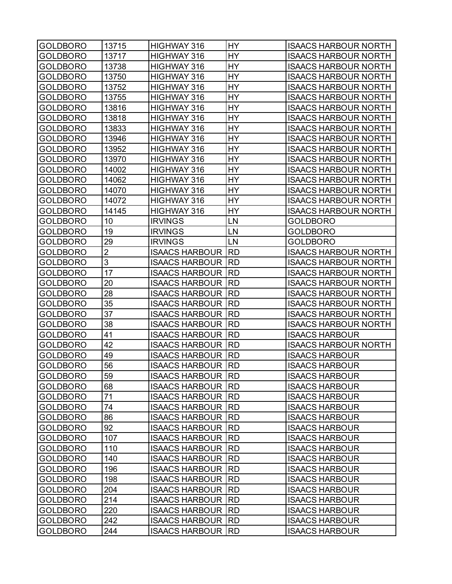| <b>GOLDBORO</b> | 13715       | <b>HIGHWAY 316</b>         | HY        | <b>ISAACS HARBOUR NORTH</b> |
|-----------------|-------------|----------------------------|-----------|-----------------------------|
|                 | 13717       |                            | <b>HY</b> |                             |
| <b>GOLDBORO</b> |             | HIGHWAY 316                |           | <b>ISAACS HARBOUR NORTH</b> |
| GOLDBORO        | 13738       | HIGHWAY 316                | HY        | <b>ISAACS HARBOUR NORTH</b> |
| GOLDBORO        | 13750       | HIGHWAY 316                | HY        | <b>ISAACS HARBOUR NORTH</b> |
| GOLDBORO        | 13752       | HIGHWAY 316                | HY        | <b>ISAACS HARBOUR NORTH</b> |
| GOLDBORO        | 13755       | HIGHWAY 316                | HY        | <b>ISAACS HARBOUR NORTH</b> |
| <b>GOLDBORO</b> | 13816       | HIGHWAY 316                | HY        | <b>ISAACS HARBOUR NORTH</b> |
| <b>GOLDBORO</b> | 13818       | HIGHWAY 316                | HY        | <b>ISAACS HARBOUR NORTH</b> |
| GOLDBORO        | 13833       | HIGHWAY 316                | HY        | <b>ISAACS HARBOUR NORTH</b> |
| <b>GOLDBORO</b> | 13946       | HIGHWAY 316                | HY        | <b>ISAACS HARBOUR NORTH</b> |
| GOLDBORO        | 13952       | HIGHWAY 316                | HY        | <b>ISAACS HARBOUR NORTH</b> |
| GOLDBORO        | 13970       | HIGHWAY 316                | HY        | <b>ISAACS HARBOUR NORTH</b> |
| <b>GOLDBORO</b> | 14002       | HIGHWAY 316                | HY        | <b>ISAACS HARBOUR NORTH</b> |
| GOLDBORO        | 14062       | HIGHWAY 316                | HY        | <b>ISAACS HARBOUR NORTH</b> |
| GOLDBORO        | 14070       | HIGHWAY 316                | HY        | <b>ISAACS HARBOUR NORTH</b> |
| GOLDBORO        | 14072       | HIGHWAY 316                | HY        | <b>ISAACS HARBOUR NORTH</b> |
| GOLDBORO        | 14145       | HIGHWAY 316                | HY        | <b>ISAACS HARBOUR NORTH</b> |
| GOLDBORO        | 10          | <b>IRVINGS</b>             | LN        | <b>GOLDBORO</b>             |
| <b>GOLDBORO</b> | 19          | <b>IRVINGS</b>             | LN        | <b>GOLDBORO</b>             |
| GOLDBORO        | 29          | <b>IRVINGS</b>             | LN        | <b>GOLDBORO</b>             |
| <b>GOLDBORO</b> | $\mathbf 2$ | <b>ISAACS HARBOUR</b>      | <b>RD</b> | <b>ISAACS HARBOUR NORTH</b> |
| <b>GOLDBORO</b> | 3           | <b>ISAACS HARBOUR</b>      | <b>RD</b> | <b>ISAACS HARBOUR NORTH</b> |
| GOLDBORO        | 17          | <b>ISAACS HARBOUR</b>      | <b>RD</b> | <b>ISAACS HARBOUR NORTH</b> |
| GOLDBORO        | 20          | <b>ISAACS HARBOUR</b>      | <b>RD</b> | <b>ISAACS HARBOUR NORTH</b> |
| <b>GOLDBORO</b> | 28          | <b>ISAACS HARBOUR</b>      | <b>RD</b> | <b>ISAACS HARBOUR NORTH</b> |
| <b>GOLDBORO</b> | 35          | <b>ISAACS HARBOUR</b>      | <b>RD</b> | <b>ISAACS HARBOUR NORTH</b> |
|                 | 37          |                            | <b>RD</b> |                             |
| GOLDBORO        |             | <b>ISAACS HARBOUR</b>      |           | <b>ISAACS HARBOUR NORTH</b> |
| <b>GOLDBORO</b> | 38          | <b>ISAACS HARBOUR</b>      | <b>RD</b> | <b>ISAACS HARBOUR NORTH</b> |
| <b>GOLDBORO</b> | 41          | <b>ISAACS HARBOUR</b>      | <b>RD</b> | <b>ISAACS HARBOUR</b>       |
| GOLDBORO        | 42          | <b>ISAACS HARBOUR</b>      | <b>RD</b> | <b>ISAACS HARBOUR NORTH</b> |
| <b>GOLDBORO</b> | 49          | <b>ISAACS HARBOUR</b>      | <b>RD</b> | <b>ISAACS HARBOUR</b>       |
| <b>GOLDBORO</b> | 56          | <b>ISAACS HARBOUR IRD</b>  |           | <b>ISAACS HARBOUR</b>       |
| <b>GOLDBORO</b> | 59          | <b>ISAACS HARBOUR RD</b>   |           | <b>ISAACS HARBOUR</b>       |
| <b>GOLDBORO</b> | 68          | <b>ISAACS HARBOUR   RD</b> |           | <b>ISAACS HARBOUR</b>       |
| <b>GOLDBORO</b> | 71          | <b>ISAACS HARBOUR RD</b>   |           | <b>ISAACS HARBOUR</b>       |
| <b>GOLDBORO</b> | 74          | <b>ISAACS HARBOUR RD</b>   |           | <b>ISAACS HARBOUR</b>       |
| <b>GOLDBORO</b> | 86          | ISAACS HARBOUR  RD         |           | <b>ISAACS HARBOUR</b>       |
| <b>GOLDBORO</b> | 92          | <b>ISAACS HARBOUR IRD</b>  |           | <b>ISAACS HARBOUR</b>       |
| <b>GOLDBORO</b> | 107         | <b>ISAACS HARBOUR RD</b>   |           | <b>ISAACS HARBOUR</b>       |
| <b>GOLDBORO</b> | 110         | ISAACS HARBOUR  RD         |           | <b>ISAACS HARBOUR</b>       |
| <b>GOLDBORO</b> | 140         | <b>ISAACS HARBOUR   RD</b> |           | <b>ISAACS HARBOUR</b>       |
| <b>GOLDBORO</b> | 196         | <b>ISAACS HARBOUR   RD</b> |           | <b>ISAACS HARBOUR</b>       |
| <b>GOLDBORO</b> | 198         | ISAACS HARBOUR  RD         |           | <b>ISAACS HARBOUR</b>       |
| <b>GOLDBORO</b> | 204         | <b>ISAACS HARBOUR   RD</b> |           | <b>ISAACS HARBOUR</b>       |
| <b>GOLDBORO</b> | 214         | <b>ISAACS HARBOUR RD</b>   |           | <b>ISAACS HARBOUR</b>       |
| <b>GOLDBORO</b> | 220         | ISAACS HARBOUR  RD         |           | <b>ISAACS HARBOUR</b>       |
| <b>GOLDBORO</b> | 242         | <b>ISAACS HARBOUR   RD</b> |           | <b>ISAACS HARBOUR</b>       |
| <b>GOLDBORO</b> | 244         | <b>ISAACS HARBOUR RD</b>   |           | <b>ISAACS HARBOUR</b>       |
|                 |             |                            |           |                             |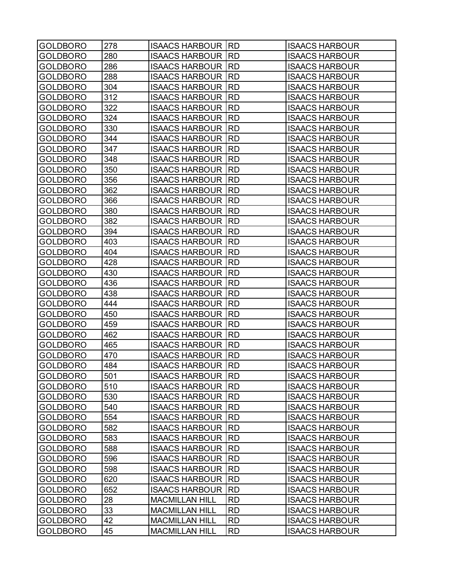| <b>GOLDBORO</b> | 278 | <b>ISAACS HARBOUR</b>    | <b>RD</b> | <b>ISAACS HARBOUR</b> |
|-----------------|-----|--------------------------|-----------|-----------------------|
| <b>GOLDBORO</b> | 280 | <b>ISAACS HARBOUR</b>    | <b>RD</b> | <b>ISAACS HARBOUR</b> |
| <b>GOLDBORO</b> | 286 | <b>ISAACS HARBOUR</b>    | <b>RD</b> | <b>ISAACS HARBOUR</b> |
| <b>GOLDBORO</b> | 288 | <b>ISAACS HARBOUR</b>    | <b>RD</b> | <b>ISAACS HARBOUR</b> |
| <b>GOLDBORO</b> | 304 | <b>ISAACS HARBOUR</b>    | <b>RD</b> | <b>ISAACS HARBOUR</b> |
| <b>GOLDBORO</b> | 312 | <b>ISAACS HARBOUR</b>    | <b>RD</b> | <b>ISAACS HARBOUR</b> |
| GOLDBORO        | 322 | <b>ISAACS HARBOUR</b>    | <b>RD</b> | <b>ISAACS HARBOUR</b> |
| <b>GOLDBORO</b> | 324 | <b>ISAACS HARBOUR</b>    | <b>RD</b> | <b>ISAACS HARBOUR</b> |
| <b>GOLDBORO</b> | 330 | <b>ISAACS HARBOUR</b>    | <b>RD</b> | <b>ISAACS HARBOUR</b> |
| <b>GOLDBORO</b> | 344 | <b>ISAACS HARBOUR</b>    | <b>RD</b> | <b>ISAACS HARBOUR</b> |
| <b>GOLDBORO</b> | 347 | <b>ISAACS HARBOUR</b>    | <b>RD</b> | <b>ISAACS HARBOUR</b> |
| <b>GOLDBORO</b> | 348 | <b>ISAACS HARBOUR</b>    | <b>RD</b> | <b>ISAACS HARBOUR</b> |
| <b>GOLDBORO</b> | 350 | <b>ISAACS HARBOUR</b>    | <b>RD</b> | <b>ISAACS HARBOUR</b> |
| <b>GOLDBORO</b> | 356 | <b>ISAACS HARBOUR</b>    | <b>RD</b> | <b>ISAACS HARBOUR</b> |
| <b>GOLDBORO</b> | 362 | <b>ISAACS HARBOUR</b>    | <b>RD</b> | <b>ISAACS HARBOUR</b> |
| <b>GOLDBORO</b> | 366 | <b>ISAACS HARBOUR</b>    | <b>RD</b> | <b>ISAACS HARBOUR</b> |
| <b>GOLDBORO</b> | 380 | <b>ISAACS HARBOUR</b>    | <b>RD</b> | <b>ISAACS HARBOUR</b> |
| <b>GOLDBORO</b> | 382 | <b>ISAACS HARBOUR</b>    | <b>RD</b> | <b>ISAACS HARBOUR</b> |
| <b>GOLDBORO</b> | 394 | <b>ISAACS HARBOUR</b>    | <b>RD</b> | <b>ISAACS HARBOUR</b> |
| <b>GOLDBORO</b> | 403 | <b>ISAACS HARBOUR</b>    | <b>RD</b> | <b>ISAACS HARBOUR</b> |
| <b>GOLDBORO</b> | 404 | <b>ISAACS HARBOUR</b>    | <b>RD</b> | <b>ISAACS HARBOUR</b> |
| GOLDBORO        | 428 | <b>ISAACS HARBOUR</b>    | <b>RD</b> | <b>ISAACS HARBOUR</b> |
| <b>GOLDBORO</b> | 430 | <b>ISAACS HARBOUR</b>    | <b>RD</b> | <b>ISAACS HARBOUR</b> |
| <b>GOLDBORO</b> | 436 | <b>ISAACS HARBOUR</b>    | <b>RD</b> | <b>ISAACS HARBOUR</b> |
| <b>GOLDBORO</b> | 438 | <b>ISAACS HARBOUR</b>    | <b>RD</b> | <b>ISAACS HARBOUR</b> |
| <b>GOLDBORO</b> | 444 | <b>ISAACS HARBOUR</b>    | <b>RD</b> | <b>ISAACS HARBOUR</b> |
| <b>GOLDBORO</b> | 450 | <b>ISAACS HARBOUR</b>    | <b>RD</b> | <b>ISAACS HARBOUR</b> |
| <b>GOLDBORO</b> | 459 | <b>ISAACS HARBOUR</b>    | <b>RD</b> | <b>ISAACS HARBOUR</b> |
| <b>GOLDBORO</b> | 462 | <b>ISAACS HARBOUR</b>    | <b>RD</b> | <b>ISAACS HARBOUR</b> |
| <b>GOLDBORO</b> | 465 | <b>ISAACS HARBOUR</b>    | <b>RD</b> | <b>ISAACS HARBOUR</b> |
| <b>GOLDBORO</b> | 470 | <b>ISAACS HARBOUR</b>    | <b>RD</b> | <b>ISAACS HARBOUR</b> |
| <b>GOLDBORO</b> | 484 | <b>ISAACS HARBOUR</b>    | <b>RD</b> | <b>ISAACS HARBOUR</b> |
| <b>GOLDBORO</b> | 501 | <b>ISAACS HARBOUR RD</b> |           | <b>ISAACS HARBOUR</b> |
| <b>GOLDBORO</b> | 510 | <b>ISAACS HARBOUR  </b>  | <b>RD</b> | <b>ISAACS HARBOUR</b> |
| <b>GOLDBORO</b> | 530 | <b>ISAACS HARBOUR  </b>  | <b>RD</b> | <b>ISAACS HARBOUR</b> |
| <b>GOLDBORO</b> | 540 | <b>ISAACS HARBOUR</b>    | <b>RD</b> | <b>ISAACS HARBOUR</b> |
| <b>GOLDBORO</b> | 554 | <b>ISAACS HARBOUR</b>    | <b>RD</b> | <b>ISAACS HARBOUR</b> |
| <b>GOLDBORO</b> | 582 | <b>ISAACS HARBOUR</b>    | <b>RD</b> | <b>ISAACS HARBOUR</b> |
| <b>GOLDBORO</b> | 583 | <b>ISAACS HARBOUR</b>    | <b>RD</b> | <b>ISAACS HARBOUR</b> |
| <b>GOLDBORO</b> | 588 | <b>ISAACS HARBOUR</b>    | <b>RD</b> | <b>ISAACS HARBOUR</b> |
| <b>GOLDBORO</b> | 596 | <b>ISAACS HARBOUR</b>    | <b>RD</b> | <b>ISAACS HARBOUR</b> |
| <b>GOLDBORO</b> | 598 | <b>ISAACS HARBOUR</b>    | <b>RD</b> | <b>ISAACS HARBOUR</b> |
| <b>GOLDBORO</b> | 620 | <b>ISAACS HARBOUR</b>    | <b>RD</b> | <b>ISAACS HARBOUR</b> |
| <b>GOLDBORO</b> | 652 | <b>ISAACS HARBOUR</b>    | <b>RD</b> | <b>ISAACS HARBOUR</b> |
| <b>GOLDBORO</b> | 28  | <b>MACMILLAN HILL</b>    | <b>RD</b> | <b>ISAACS HARBOUR</b> |
| <b>GOLDBORO</b> | 33  | <b>MACMILLAN HILL</b>    | <b>RD</b> | <b>ISAACS HARBOUR</b> |
| <b>GOLDBORO</b> | 42  | <b>MACMILLAN HILL</b>    | <b>RD</b> | <b>ISAACS HARBOUR</b> |
| <b>GOLDBORO</b> | 45  | <b>MACMILLAN HILL</b>    | <b>RD</b> | <b>ISAACS HARBOUR</b> |